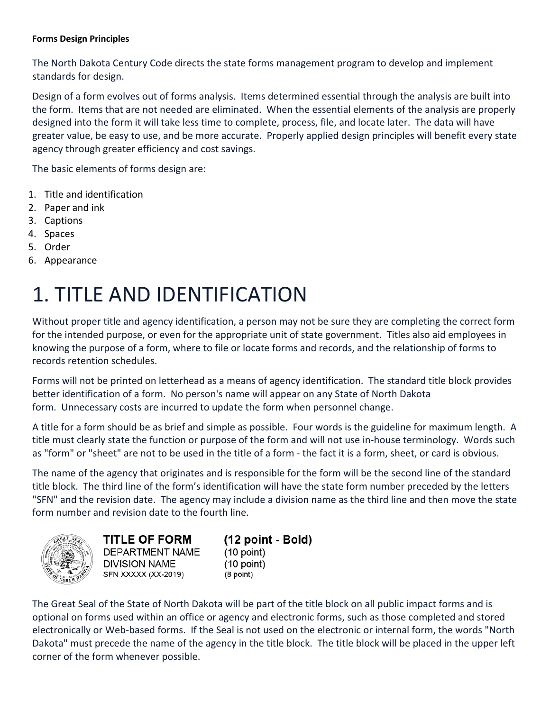#### **Forms Design Principles**

The North Dakota Century Code directs the state forms management program to develop and implement standards for design.

Design of a form evolves out of forms analysis. Items determined essential through the analysis are built into the form. Items that are not needed are eliminated. When the essential elements of the analysis are properly designed into the form it will take less time to complete, process, file, and locate later. The data will have greater value, be easy to use, and be more accurate. Properly applied design principles will benefit every state agency through greater efficiency and cost savings.

The basic elements of forms design are:

- 1. [Title and identification](https://www.nd.gov/itd/services/forms-management-program/form-design-principles#1)
- 2. [Paper and ink](https://www.nd.gov/itd/services/forms-management-program/form-design-principles#2)
- 3. [Captions](https://www.nd.gov/itd/services/forms-management-program/form-design-principles#3)
- 4. [Spaces](https://www.nd.gov/itd/services/forms-management-program/form-design-principles#4)
- 5. [Order](https://www.nd.gov/itd/services/forms-management-program/form-design-principles#5)
- 6. [Appearance](https://www.nd.gov/itd/services/forms-management-program/form-design-principles#6)

# 1. TITLE AND IDENTIFICATION

Without proper title and agency identification, a person may not be sure they are completing the correct form for the intended purpose, or even for the appropriate unit of state government. Titles also aid employees in knowing the purpose of a form, where to file or locate forms and records, and the relationship of forms to records retention schedules.

Forms will not be printed on letterhead as a means of agency identification. The standard title block provides better identification of a form. No person's name will appear on any State of North Dakota form. Unnecessary costs are incurred to update the form when personnel change.

A title for a form should be as brief and simple as possible. Four words is the guideline for maximum length. A title must clearly state the function or purpose of the form and will not use in-house terminology. Words such as "form" or "sheet" are not to be used in the title of a form - the fact it is a form, sheet, or card is obvious.

The name of the agency that originates and is responsible for the form will be the second line of the standard title block. The third line of the form's identification will have the state form number preceded by the letters "SFN" and the revision date. The agency may include a division name as the third line and then move the state form number and revision date to the fourth line.



**TITLE OF FORM** DEPARTMENT NAME **DIVISION NAME** SFN XXXXX (XX-2019)

(12 point - Bold)  $(10$  point)  $(10$  point)  $(8$  point)

The Great Seal of the State of North Dakota will be part of the title block on all public impact forms and is optional on forms used within an office or agency and electronic forms, such as those completed and stored electronically or Web-based forms. If the Seal is not used on the electronic or internal form, the words "North Dakota" must precede the name of the agency in the title block. The title block will be placed in the upper left corner of the form whenever possible.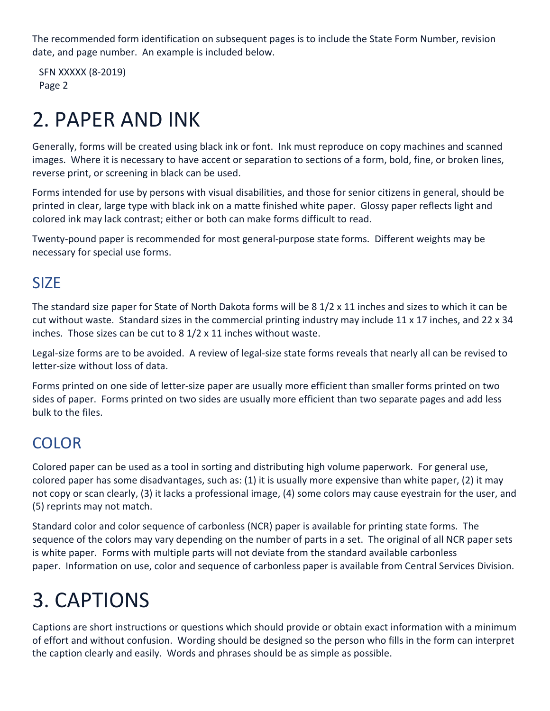The recommended form identification on subsequent pages is to include the State Form Number, revision date, and page number. An example is included below.

SFN XXXXX (8-2019) Page 2

# 2. PAPER AND INK

Generally, forms will be created using black ink or font. Ink must reproduce on copy machines and scanned images. Where it is necessary to have accent or separation to sections of a form, bold, fine, or broken lines, reverse print, or screening in black can be used.

Forms intended for use by persons with visual disabilities, and those for senior citizens in general, should be printed in clear, large type with black ink on a matte finished white paper. Glossy paper reflects light and colored ink may lack contrast; either or both can make forms difficult to read.

Twenty-pound paper is recommended for most general-purpose state forms. Different weights may be necessary for special use forms.

### SIZE

The standard size paper for State of North Dakota forms will be 8 1/2 x 11 inches and sizes to which it can be cut without waste. Standard sizes in the commercial printing industry may include 11 x 17 inches, and 22 x 34 inches. Those sizes can be cut to 8 1/2 x 11 inches without waste.

Legal-size forms are to be avoided. A review of legal-size state forms reveals that nearly all can be revised to letter-size without loss of data.

Forms printed on one side of letter-size paper are usually more efficient than smaller forms printed on two sides of paper. Forms printed on two sides are usually more efficient than two separate pages and add less bulk to the files.

## COLOR

Colored paper can be used as a tool in sorting and distributing high volume paperwork. For general use, colored paper has some disadvantages, such as: (1) it is usually more expensive than white paper, (2) it may not copy or scan clearly, (3) it lacks a professional image, (4) some colors may cause eyestrain for the user, and (5) reprints may not match.

Standard color and color sequence of carbonless (NCR) paper is available for printing state forms. The sequence of the colors may vary depending on the number of parts in a set. The original of all NCR paper sets is white paper. Forms with multiple parts will not deviate from the standard available carbonless paper. Information on use, color and sequence of carbonless paper is available from Central Services Division.

## 3. CAPTIONS

Captions are short instructions or questions which should provide or obtain exact information with a minimum of effort and without confusion. Wording should be designed so the person who fills in the form can interpret the caption clearly and easily. Words and phrases should be as simple as possible.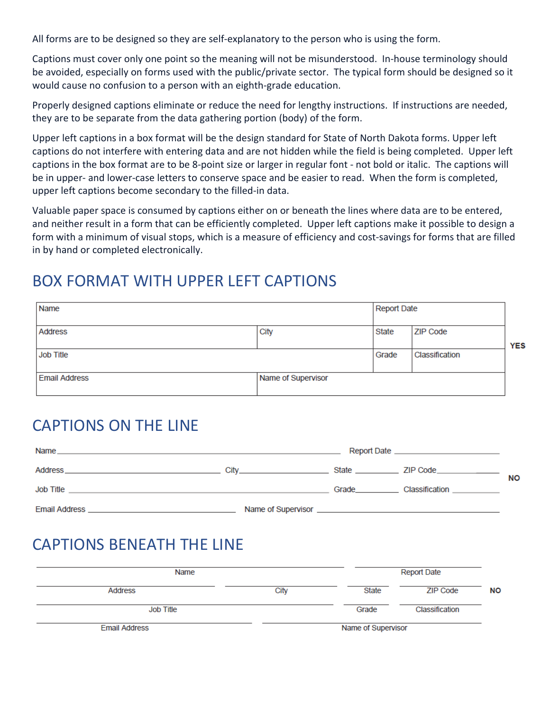All forms are to be designed so they are self-explanatory to the person who is using the form.

Captions must cover only one point so the meaning will not be misunderstood. In-house terminology should be avoided, especially on forms used with the public/private sector. The typical form should be designed so it would cause no confusion to a person with an eighth-grade education.

Properly designed captions eliminate or reduce the need for lengthy instructions. If instructions are needed, they are to be separate from the data gathering portion (body) of the form.

Upper left captions in a box format will be the design standard for State of North Dakota forms. Upper left captions do not interfere with entering data and are not hidden while the field is being completed. Upper left captions in the box format are to be 8-point size or larger in regular font - not bold or italic. The captions will be in upper- and lower-case letters to conserve space and be easier to read. When the form is completed, upper left captions become secondary to the filled-in data.

Valuable paper space is consumed by captions either on or beneath the lines where data are to be entered, and neither result in a form that can be efficiently completed. Upper left captions make it possible to design a form with a minimum of visual stops, which is a measure of efficiency and cost-savings for forms that are filled in by hand or completed electronically.

### BOX FORMAT WITH UPPER LEFT CAPTIONS

| Name                 |                    |       | <b>Report Date</b> |            |
|----------------------|--------------------|-------|--------------------|------------|
| <b>Address</b>       | City               | State | <b>ZIP Code</b>    | <b>YES</b> |
| <b>Job Title</b>     |                    | Grade | Classification     |            |
| <b>Email Address</b> | Name of Supervisor |       |                    |            |

### CAPTIONS ON THE LINE

| Name<br>,我们也不会有什么。""我们的人,我们也不会有什么?""我们的人,我们也不会有什么?""我们的人,我们也不会有什么?""我们的人,我们也不会有什么?""我们的人                                                                                                                                                   |                                                      |             | Report Date <b>contract the contract of the series</b> |           |
|--------------------------------------------------------------------------------------------------------------------------------------------------------------------------------------------------------------------------------------------|------------------------------------------------------|-------------|--------------------------------------------------------|-----------|
| Address<br>the control of the control of the control of the control of the control of the control of                                                                                                                                       | City<br>the control of the control of the control of | State       | ZIP Code_______________                                | <b>NO</b> |
| Job Title<br>the control of the control of the control of the control of the control of the control of the control of the control of the control of the control of the control of the control of the control of the control of the control |                                                      | Grade______ | Classification                                         |           |
| <b>Email Address</b>                                                                                                                                                                                                                       |                                                      |             |                                                        |           |

### CAPTIONS BENEATH THE LINE

| Name                 |      |                    | <b>Report Date</b> |           |  |
|----------------------|------|--------------------|--------------------|-----------|--|
| Address              | City | State              | ZIP Code           | <b>NO</b> |  |
| Job Title            |      | Grade              | Classification     |           |  |
| <b>Email Address</b> |      | Name of Supervisor |                    |           |  |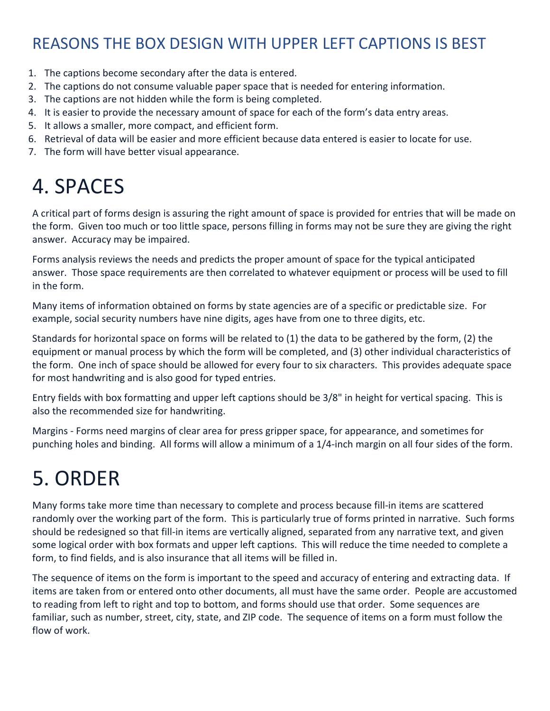## REASONS THE BOX DESIGN WITH UPPER LEFT CAPTIONS IS BEST

- 1. The captions become secondary after the data is entered.
- 2. The captions do not consume valuable paper space that is needed for entering information.
- 3. The captions are not hidden while the form is being completed.
- 4. It is easier to provide the necessary amount of space for each of the form's data entry areas.
- 5. It allows a smaller, more compact, and efficient form.
- 6. Retrieval of data will be easier and more efficient because data entered is easier to locate for use.
- 7. The form will have better visual appearance.

# 4. SPACES

A critical part of forms design is assuring the right amount of space is provided for entries that will be made on the form. Given too much or too little space, persons filling in forms may not be sure they are giving the right answer. Accuracy may be impaired.

Forms analysis reviews the needs and predicts the proper amount of space for the typical anticipated answer. Those space requirements are then correlated to whatever equipment or process will be used to fill in the form.

Many items of information obtained on forms by state agencies are of a specific or predictable size. For example, social security numbers have nine digits, ages have from one to three digits, etc.

Standards for horizontal space on forms will be related to (1) the data to be gathered by the form, (2) the equipment or manual process by which the form will be completed, and (3) other individual characteristics of the form. One inch of space should be allowed for every four to six characters. This provides adequate space for most handwriting and is also good for typed entries.

Entry fields with box formatting and upper left captions should be 3/8" in height for vertical spacing. This is also the recommended size for handwriting.

Margins - Forms need margins of clear area for press gripper space, for appearance, and sometimes for punching holes and binding. All forms will allow a minimum of a 1/4-inch margin on all four sides of the form.

# 5. ORDER

Many forms take more time than necessary to complete and process because fill-in items are scattered randomly over the working part of the form. This is particularly true of forms printed in narrative. Such forms should be redesigned so that fill-in items are vertically aligned, separated from any narrative text, and given some logical order with box formats and upper left captions. This will reduce the time needed to complete a form, to find fields, and is also insurance that all items will be filled in.

The sequence of items on the form is important to the speed and accuracy of entering and extracting data. If items are taken from or entered onto other documents, all must have the same order. People are accustomed to reading from left to right and top to bottom, and forms should use that order. Some sequences are familiar, such as number, street, city, state, and ZIP code. The sequence of items on a form must follow the flow of work.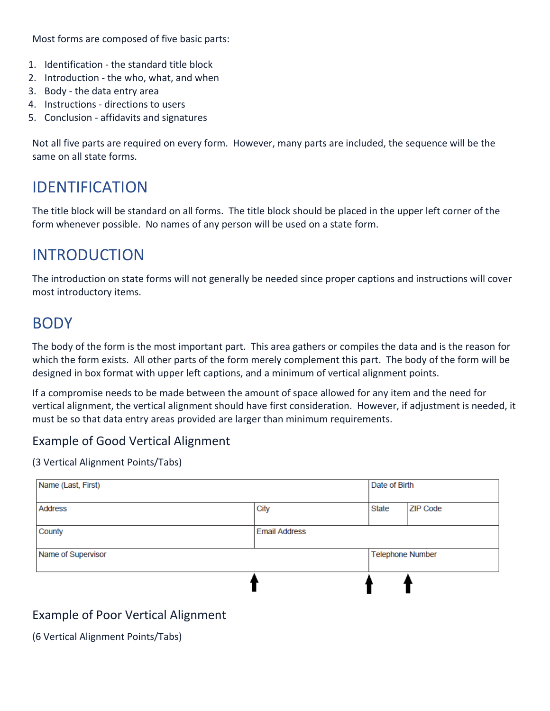Most forms are composed of five basic parts:

- 1. Identification the standard title block
- 2. Introduction the who, what, and when
- 3. Body the data entry area
- 4. Instructions directions to users
- 5. Conclusion affidavits and signatures

Not all five parts are required on every form. However, many parts are included, the sequence will be the same on all state forms.

### IDENTIFICATION

The title block will be standard on all forms. The title block should be placed in the upper left corner of the form whenever possible. No names of any person will be used on a state form.

### INTRODUCTION

The introduction on state forms will not generally be needed since proper captions and instructions will cover most introductory items.

### BODY

The body of the form is the most important part. This area gathers or compiles the data and is the reason for which the form exists. All other parts of the form merely complement this part. The body of the form will be designed in box format with upper left captions, and a minimum of vertical alignment points.

If a compromise needs to be made between the amount of space allowed for any item and the need for vertical alignment, the vertical alignment should have first consideration. However, if adjustment is needed, it must be so that data entry areas provided are larger than minimum requirements.

### Example of Good Vertical Alignment

(3 Vertical Alignment Points/Tabs)

| Name (Last, First) |                      | Date of Birth |                         |
|--------------------|----------------------|---------------|-------------------------|
| <b>Address</b>     | City                 | State         | <b>ZIP Code</b>         |
| County             | <b>Email Address</b> |               |                         |
| Name of Supervisor |                      |               | <b>Telephone Number</b> |
|                    |                      |               |                         |

### Example of Poor Vertical Alignment

(6 Vertical Alignment Points/Tabs)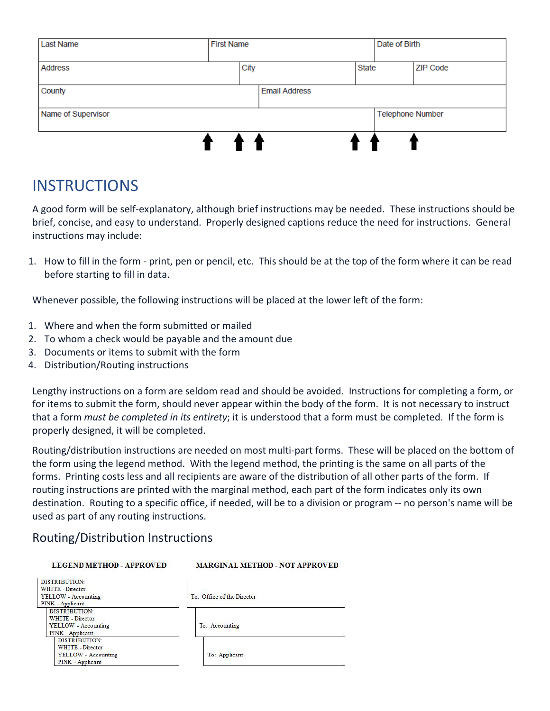| Last Name          | <b>First Name</b> |      |                      | Date of Birth |                         |                 |
|--------------------|-------------------|------|----------------------|---------------|-------------------------|-----------------|
| <b>Address</b>     |                   | City |                      | <b>State</b>  |                         | <b>ZIP Code</b> |
| County             |                   |      | <b>Email Address</b> |               |                         |                 |
| Name of Supervisor |                   |      |                      |               | <b>Telephone Number</b> |                 |
|                    |                   |      |                      |               |                         |                 |

### **INSTRUCTIONS**

A good form will be self-explanatory, although brief instructions may be needed. These instructions should be brief, concise, and easy to understand. Properly designed captions reduce the need for instructions. General instructions may include:

1. How to fill in the form - print, pen or pencil, etc. This should be at the top of the form where it can be read before starting to fill in data.

Whenever possible, the following instructions will be placed at the lower left of the form:

- 1. Where and when the form submitted or mailed
- 2. To whom a check would be payable and the amount due
- 3. Documents or items to submit with the form
- 4. Distribution/Routing instructions

Lengthy instructions on a form are seldom read and should be avoided. Instructions for completing a form, or for items to submit the form, should never appear within the body of the form. It is not necessary to instruct that a form *must be completed in its entirety*; it is understood that a form must be completed. If the form is properly designed, it will be completed.

Routing/distribution instructions are needed on most multi-part forms. These will be placed on the bottom of the form using the legend method. With the legend method, the printing is the same on all parts of the forms. Printing costs less and all recipients are aware of the distribution of all other parts of the form. If routing instructions are printed with the marginal method, each part of the form indicates only its own destination. Routing to a specific office, if needed, will be to a division or program -- no person's name will be used as part of any routing instructions.

### Routing/Distribution Instructions

| <b>LEGEND METHOD - APPROVED</b>                                        | <b>MARGINAL METHOD - NOT APPROVED</b> |  |  |
|------------------------------------------------------------------------|---------------------------------------|--|--|
| <b>DISTRIBUTION:</b><br><b>WHITE - Director</b><br>YELLOW - Accounting | To: Office of the Director            |  |  |
| PINK - Applicant                                                       |                                       |  |  |
| DISTRIBUTION:                                                          |                                       |  |  |
| <b>WHITE - Director</b>                                                |                                       |  |  |
| YELLOW - Accounting                                                    | To: Accounting                        |  |  |
| PINK - Applicant                                                       |                                       |  |  |
| <b>DISTRIBUTION:</b>                                                   |                                       |  |  |
| WHITE - Director                                                       |                                       |  |  |
| <b>YELLOW</b> - Accounting                                             | To: Applicant                         |  |  |
| PINK - Applicant                                                       |                                       |  |  |